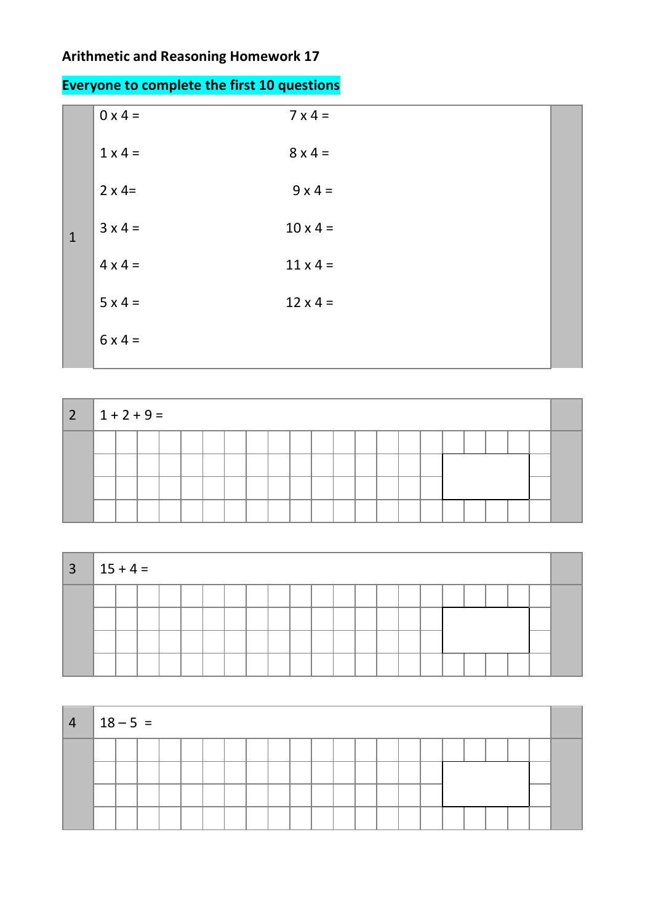## **Arithmetic and Reasoning Homework 17**

| <b>Everyone to complete the first 10 questions</b> |  |
|----------------------------------------------------|--|
|                                                    |  |

|              | $0 \times 4 =$ | $7 \times 4 =$  |  |
|--------------|----------------|-----------------|--|
|              | $1 \times 4 =$ | $8 \times 4 =$  |  |
|              | $2 \times 4=$  | $9x4=$          |  |
| $\mathbf{1}$ | $3 \times 4 =$ | $10 \times 4 =$ |  |
|              | $4 \times 4 =$ | $11 \times 4 =$ |  |
|              | $5 \times 4 =$ | $12 \times 4 =$ |  |
|              | $6x4=$         |                 |  |

| $\begin{vmatrix} 2 \\ 1 + 2 + 9 = 1 \end{vmatrix}$ |  |  |  |  |  |  |  |  |  |  |  |
|----------------------------------------------------|--|--|--|--|--|--|--|--|--|--|--|
|                                                    |  |  |  |  |  |  |  |  |  |  |  |
|                                                    |  |  |  |  |  |  |  |  |  |  |  |
|                                                    |  |  |  |  |  |  |  |  |  |  |  |
|                                                    |  |  |  |  |  |  |  |  |  |  |  |

| $3 \mid 15 + 4 =$ |  |  |  |  |  |  |  |  |  |  |  |
|-------------------|--|--|--|--|--|--|--|--|--|--|--|
|                   |  |  |  |  |  |  |  |  |  |  |  |
|                   |  |  |  |  |  |  |  |  |  |  |  |
|                   |  |  |  |  |  |  |  |  |  |  |  |
|                   |  |  |  |  |  |  |  |  |  |  |  |

| $\overline{4}$ | $ 18 - 5 $ |  |  |  |  |  |  |  |  |  |  |  |
|----------------|------------|--|--|--|--|--|--|--|--|--|--|--|
|                |            |  |  |  |  |  |  |  |  |  |  |  |
|                |            |  |  |  |  |  |  |  |  |  |  |  |
|                |            |  |  |  |  |  |  |  |  |  |  |  |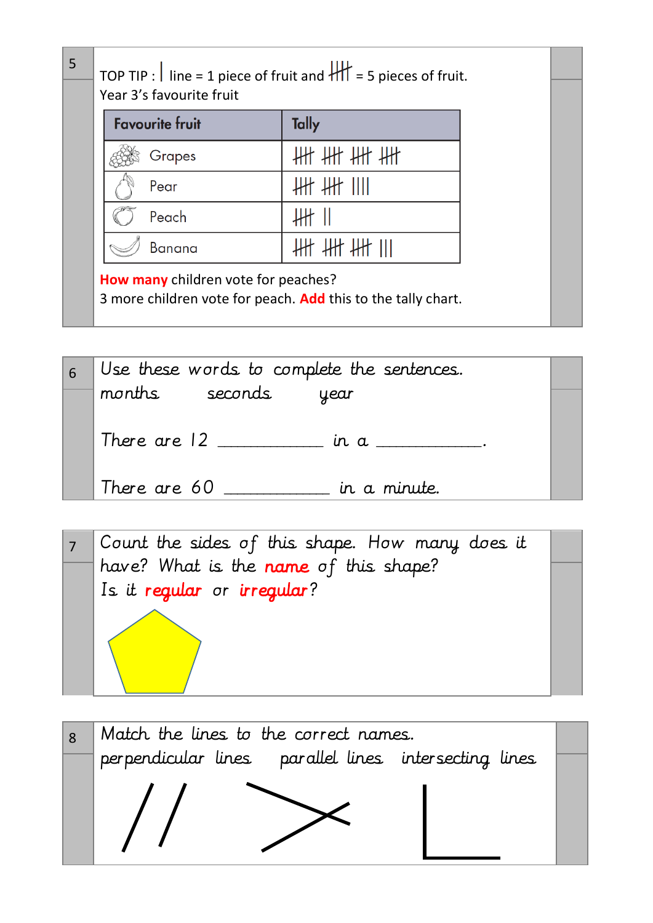| <b>Favourite fruit</b> | Tally           |
|------------------------|-----------------|
| Grapes                 | <b>## ## ##</b> |
| Pear                   | ₩ ₩ Ⅲ           |
| Peach                  |                 |
| <b>Banana</b>          |                 |

| 6 | Use these words to complete the sentences. |  |
|---|--------------------------------------------|--|
|   | months seconds<br>year                     |  |
|   | There are 12 in a                          |  |
|   | There are 60<br>in a minute.               |  |



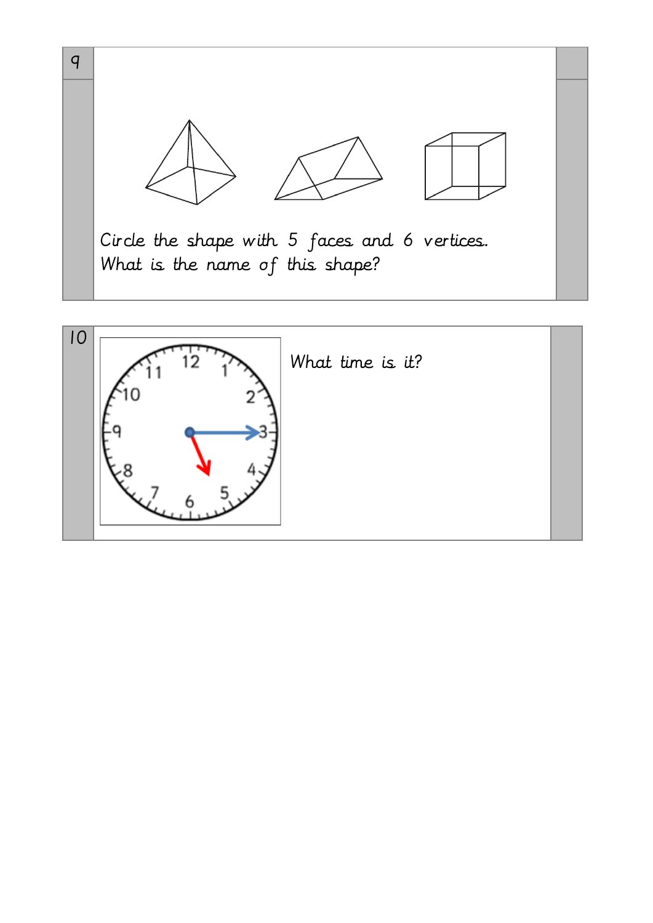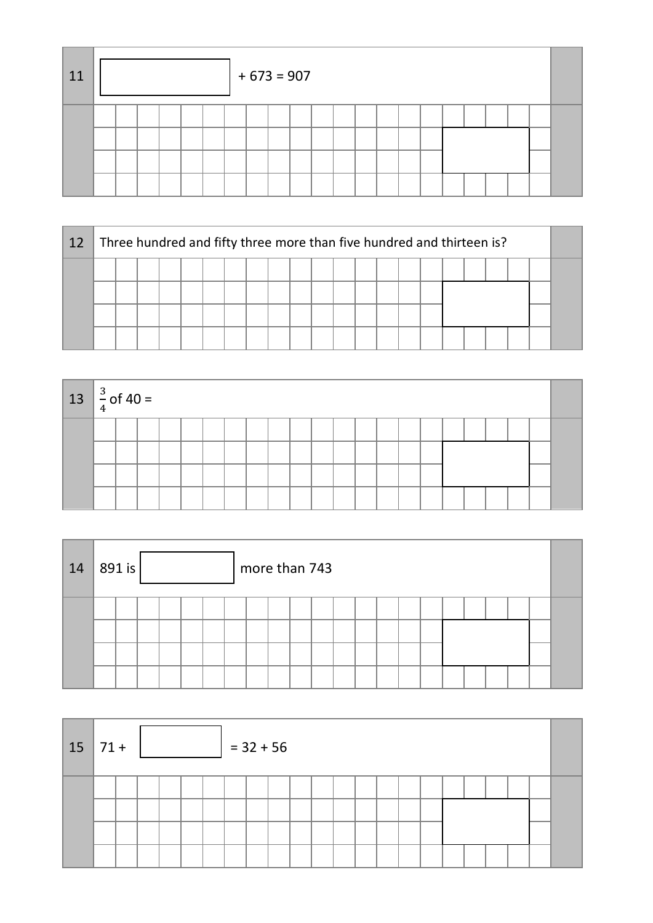| 11 |  |  |  | $+ 673 = 907$ |  |  |  |  |  |  |  |
|----|--|--|--|---------------|--|--|--|--|--|--|--|
|    |  |  |  |               |  |  |  |  |  |  |  |

| 12 |  |  |  | Three hundred and fifty three more than five hundred and thirteen is? |  |  |  |  |  |  |  |
|----|--|--|--|-----------------------------------------------------------------------|--|--|--|--|--|--|--|
|    |  |  |  |                                                                       |  |  |  |  |  |  |  |
|    |  |  |  |                                                                       |  |  |  |  |  |  |  |
|    |  |  |  |                                                                       |  |  |  |  |  |  |  |
|    |  |  |  |                                                                       |  |  |  |  |  |  |  |

| $13 \left  \frac{3}{4} \right.$ of 40 = |  |  |  |  |  |  |  |  |  |  |  |
|-----------------------------------------|--|--|--|--|--|--|--|--|--|--|--|
|                                         |  |  |  |  |  |  |  |  |  |  |  |
|                                         |  |  |  |  |  |  |  |  |  |  |  |
|                                         |  |  |  |  |  |  |  |  |  |  |  |
|                                         |  |  |  |  |  |  |  |  |  |  |  |

| 14 | 891 is |  |  | more than 743 |  |  |  |  |  |  |  |
|----|--------|--|--|---------------|--|--|--|--|--|--|--|
|    |        |  |  |               |  |  |  |  |  |  |  |

| $15 \mid 71 +$ |  |  |  | $= 32 + 56$ |  |  |  |  |  |  |  |
|----------------|--|--|--|-------------|--|--|--|--|--|--|--|
|                |  |  |  |             |  |  |  |  |  |  |  |
|                |  |  |  |             |  |  |  |  |  |  |  |
|                |  |  |  |             |  |  |  |  |  |  |  |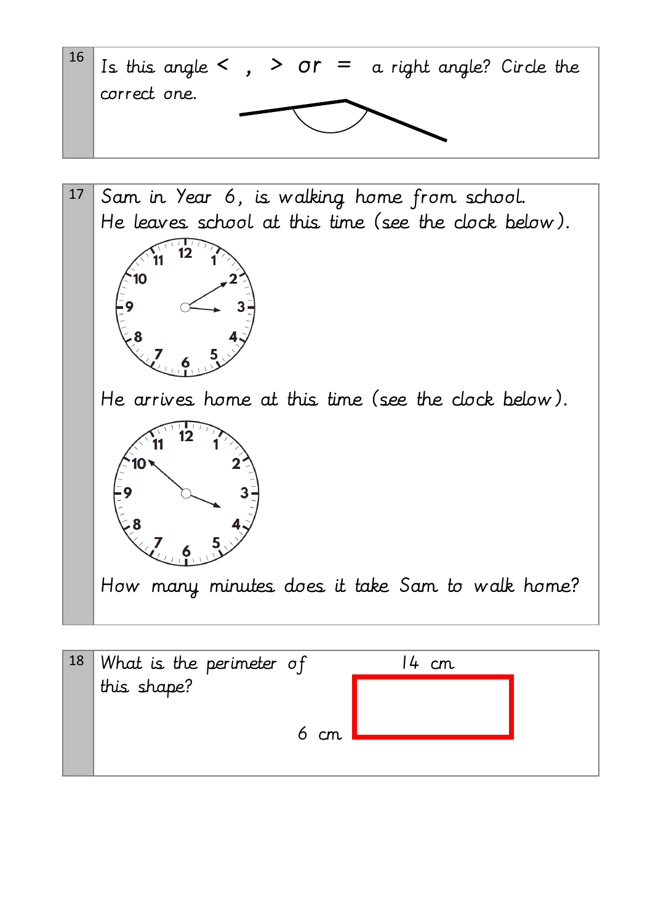



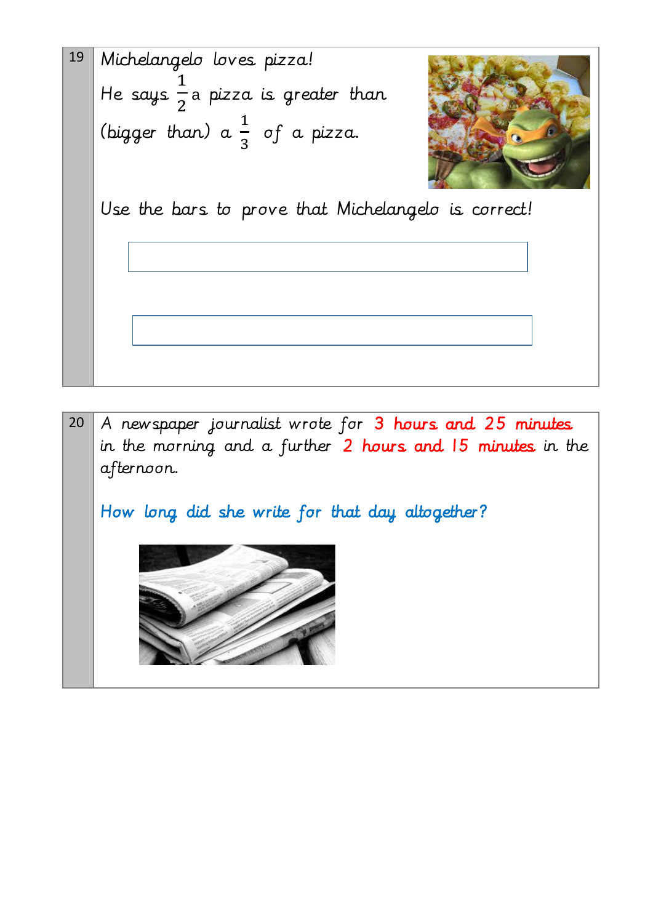



How long did she write for that day altogether?